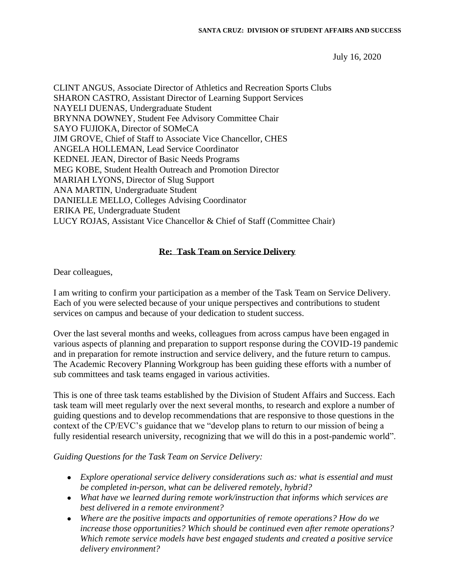July 16, 2020

CLINT ANGUS, Associate Director of Athletics and Recreation Sports Clubs SHARON CASTRO, Assistant Director of Learning Support Services NAYELI DUENAS, Undergraduate Student BRYNNA DOWNEY, Student Fee Advisory Committee Chair SAYO FUJIOKA, Director of SOMeCA JIM GROVE, Chief of Staff to Associate Vice Chancellor, CHES ANGELA HOLLEMAN, Lead Service Coordinator KEDNEL JEAN, Director of Basic Needs Programs MEG KOBE, Student Health Outreach and Promotion Director MARIAH LYONS, Director of Slug Support ANA MARTIN, Undergraduate Student DANIELLE MELLO, Colleges Advising Coordinator ERIKA PE, Undergraduate Student LUCY ROJAS, Assistant Vice Chancellor & Chief of Staff (Committee Chair)

## **Re: Task Team on Service Delivery**

Dear colleagues,

I am writing to confirm your participation as a member of the Task Team on Service Delivery. Each of you were selected because of your unique perspectives and contributions to student services on campus and because of your dedication to student success.

Over the last several months and weeks, colleagues from across campus have been engaged in various aspects of planning and preparation to support response during the COVID-19 pandemic and in preparation for remote instruction and service delivery, and the future return to campus. The Academic Recovery Planning Workgroup has been guiding these efforts with a number of sub committees and task teams engaged in various activities.

This is one of three task teams established by the Division of Student Affairs and Success. Each task team will meet regularly over the next several months, to research and explore a number of guiding questions and to develop recommendations that are responsive to those questions in the context of the CP/EVC's guidance that we "develop plans to return to our mission of being a fully residential research university, recognizing that we will do this in a post-pandemic world".

## *Guiding Questions for the Task Team on Service Delivery:*

- *Explore operational service delivery considerations such as: what is essential and must be completed in-person, what can be delivered remotely, hybrid?*
- *What have we learned during remote work/instruction that informs which services are best delivered in a remote environment?*
- *Where are the positive impacts and opportunities of remote operations? How do we increase those opportunities? Which should be continued even after remote operations? Which remote service models have best engaged students and created a positive service delivery environment?*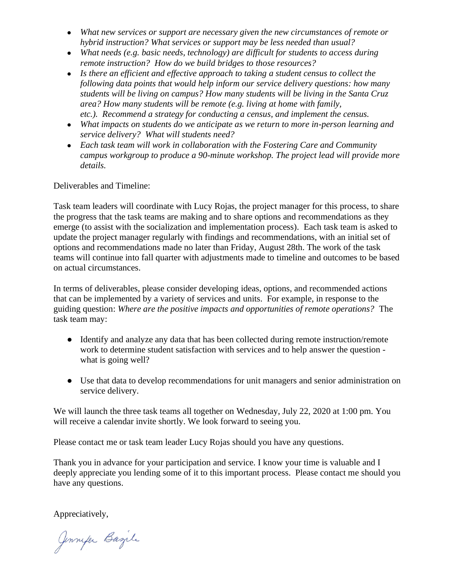- *What new services or support are necessary given the new circumstances of remote or hybrid instruction? What services or support may be less needed than usual?*
- *What needs (e.g. basic needs, technology) are difficult for students to access during remote instruction? How do we build bridges to those resources?*
- *Is there an efficient and effective approach to taking a student census to collect the following data points that would help inform our service delivery questions: how many students will be living on campus? How many students will be living in the Santa Cruz area? How many students will be remote (e.g. living at home with family, etc.). Recommend a strategy for conducting a census, and implement the census.*
- *What impacts on students do we anticipate as we return to more in-person learning and service delivery? What will students need?*
- *Each task team will work in collaboration with the Fostering Care and Community campus workgroup to produce a 90-minute workshop. The project lead will provide more details.*

Deliverables and Timeline:

Task team leaders will coordinate with Lucy Rojas, the project manager for this process, to share the progress that the task teams are making and to share options and recommendations as they emerge (to assist with the socialization and implementation process). Each task team is asked to update the project manager regularly with findings and recommendations, with an initial set of options and recommendations made no later than Friday, August 28th. The work of the task teams will continue into fall quarter with adjustments made to timeline and outcomes to be based on actual circumstances.

In terms of deliverables, please consider developing ideas, options, and recommended actions that can be implemented by a variety of services and units. For example, in response to the guiding question: *Where are the positive impacts and opportunities of remote operations?* The task team may:

- Identify and analyze any data that has been collected during remote instruction/remote work to determine student satisfaction with services and to help answer the question what is going well?
- Use that data to develop recommendations for unit managers and senior administration on service delivery.

We will launch the three task teams all together on Wednesday, July 22, 2020 at 1:00 pm. You will receive a calendar invite shortly. We look forward to seeing you.

Please contact me or task team leader Lucy Rojas should you have any questions.

Thank you in advance for your participation and service. I know your time is valuable and I deeply appreciate you lending some of it to this important process. Please contact me should you have any questions.

Appreciatively,

Jennyer Bazile